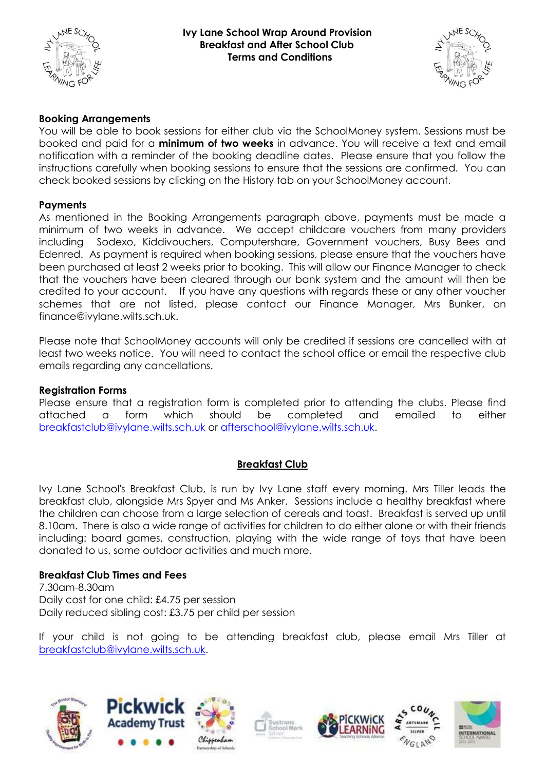

#### **Ivy Lane School Wrap Around Provision Breakfast and After School Club Terms and Conditions**



## **Booking Arrangements**

You will be able to book sessions for either club via the SchoolMoney system. Sessions must be booked and paid for a **minimum of two weeks** in advance. You will receive a text and email notification with a reminder of the booking deadline dates. Please ensure that you follow the instructions carefully when booking sessions to ensure that the sessions are confirmed. You can check booked sessions by clicking on the History tab on your SchoolMoney account.

### **Payments**

As mentioned in the Booking Arrangements paragraph above, payments must be made a minimum of two weeks in advance. We accept childcare vouchers from many providers including Sodexo, Kiddivouchers, Computershare, Government vouchers, Busy Bees and Edenred. As payment is required when booking sessions, please ensure that the vouchers have been purchased at least 2 weeks prior to booking. This will allow our Finance Manager to check that the vouchers have been cleared through our bank system and the amount will then be credited to your account. If you have any questions with regards these or any other voucher schemes that are not listed, please contact our Finance Manager, Mrs Bunker, on finance@ivylane.wilts.sch.uk.

Please note that SchoolMoney accounts will only be credited if sessions are cancelled with at least two weeks notice. You will need to contact the school office or email the respective club emails regarding any cancellations.

### **Registration Forms**

Please ensure that a registration form is completed prior to attending the clubs. Please find attached a form which should be completed and emailed to either [breakfastclub@ivylane.wilts.sch.uk](mailto:breakfastclub@ivylane.wilts.sch.uk) or [afterschool@ivylane.wilts.sch.uk.](mailto:afterschool@ivylane.wilts.sch.uk)

## **Breakfast Club**

Ivy Lane School's Breakfast Club, is run by Ivy Lane staff every morning. Mrs Tiller leads the breakfast club, alongside Mrs Spyer and Ms Anker. Sessions include a healthy breakfast where the children can choose from a large selection of cereals and toast. Breakfast is served up until 8.10am. There is also a wide range of activities for children to do either alone or with their friends including: board games, construction, playing with the wide range of toys that have been donated to us, some outdoor activities and much more.

### **Breakfast Club Times and Fees**

7.30am-8.30am Daily cost for one child: £4.75 per session Daily reduced sibling cost: £3.75 per child per session

If your child is not going to be attending breakfast club, please email Mrs Tiller at [breakfastclub@ivylane.wilts.sch.uk.](mailto:breakfastclub@ivylane.wilts.sch.uk)